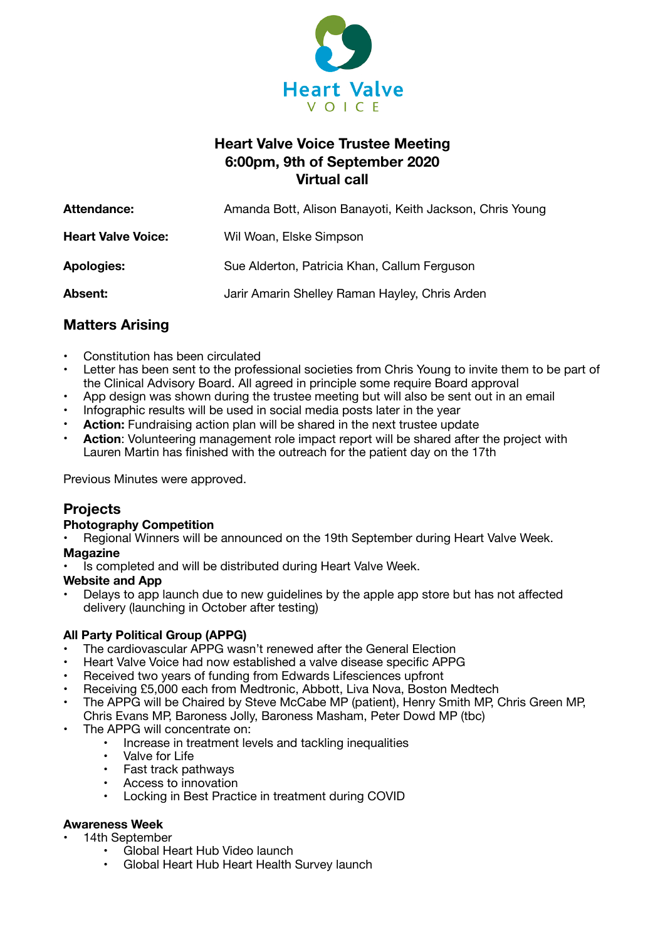

# **Heart Valve Voice Trustee Meeting 6:00pm, 9th of September 2020 Virtual call**

| Attendance:               | Amanda Bott, Alison Banayoti, Keith Jackson, Chris Young |
|---------------------------|----------------------------------------------------------|
| <b>Heart Valve Voice:</b> | Wil Woan, Elske Simpson                                  |
| <b>Apologies:</b>         | Sue Alderton, Patricia Khan, Callum Ferguson             |
| Absent:                   | Jarir Amarin Shelley Raman Hayley, Chris Arden           |

# **Matters Arising**

- Constitution has been circulated
- Letter has been sent to the professional societies from Chris Young to invite them to be part of the Clinical Advisory Board. All agreed in principle some require Board approval
- App design was shown during the trustee meeting but will also be sent out in an email
- Infographic results will be used in social media posts later in the year
- **Action:** Fundraising action plan will be shared in the next trustee update
- **Action**: Volunteering management role impact report will be shared after the project with Lauren Martin has finished with the outreach for the patient day on the 17th

Previous Minutes were approved.

## **Projects**

## **Photography Competition**

• Regional Winners will be announced on the 19th September during Heart Valve Week.

### **Magazine**

Is completed and will be distributed during Heart Valve Week.

### **Website and App**

• Delays to app launch due to new guidelines by the apple app store but has not affected delivery (launching in October after testing)

## **All Party Political Group (APPG)**

- The cardiovascular APPG wasn't renewed after the General Election
- Heart Valve Voice had now established a valve disease specific APPG
- Received two years of funding from Edwards Lifesciences upfront
- Receiving £5,000 each from Medtronic, Abbott, Liva Nova, Boston Medtech
- The APPG will be Chaired by Steve McCabe MP (patient), Henry Smith MP, Chris Green MP, Chris Evans MP, Baroness Jolly, Baroness Masham, Peter Dowd MP (tbc)
- The APPG will concentrate on:
	- Increase in treatment levels and tackling inequalities
	- Valve for Life
	- Fast track pathways
	- Access to innovation
	- Locking in Best Practice in treatment during COVID

## **Awareness Week**

### • 14th September

- Global Heart Hub Video launch
- Global Heart Hub Heart Health Survey launch